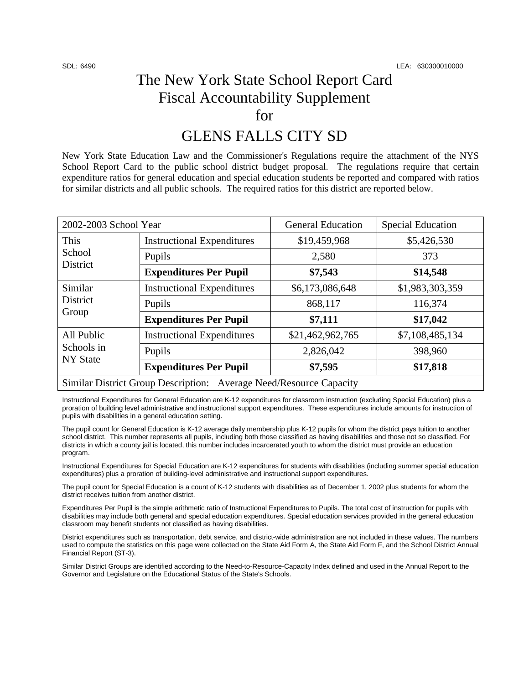## The New York State School Report Card Fiscal Accountability Supplement for

## GLENS FALLS CITY SD

New York State Education Law and the Commissioner's Regulations require the attachment of the NYS School Report Card to the public school district budget proposal. The regulations require that certain expenditure ratios for general education and special education students be reported and compared with ratios for similar districts and all public schools. The required ratios for this district are reported below.

| 2002-2003 School Year                                              |                                   | <b>General Education</b> | <b>Special Education</b> |  |
|--------------------------------------------------------------------|-----------------------------------|--------------------------|--------------------------|--|
| This<br>School<br>District                                         | <b>Instructional Expenditures</b> | \$19,459,968             | \$5,426,530              |  |
|                                                                    | Pupils                            | 2,580                    | 373                      |  |
|                                                                    | <b>Expenditures Per Pupil</b>     | \$7,543                  | \$14,548                 |  |
| Similar<br>District<br>Group                                       | <b>Instructional Expenditures</b> | \$6,173,086,648          | \$1,983,303,359          |  |
|                                                                    | Pupils                            | 868,117                  | 116,374                  |  |
|                                                                    | <b>Expenditures Per Pupil</b>     | \$7,111                  | \$17,042                 |  |
| All Public<br>Schools in<br><b>NY State</b>                        | <b>Instructional Expenditures</b> | \$21,462,962,765         | \$7,108,485,134          |  |
|                                                                    | Pupils                            | 2,826,042                | 398,960                  |  |
|                                                                    | <b>Expenditures Per Pupil</b>     | \$7,595                  | \$17,818                 |  |
| Similar District Group Description: Average Need/Resource Capacity |                                   |                          |                          |  |

Instructional Expenditures for General Education are K-12 expenditures for classroom instruction (excluding Special Education) plus a proration of building level administrative and instructional support expenditures. These expenditures include amounts for instruction of pupils with disabilities in a general education setting.

The pupil count for General Education is K-12 average daily membership plus K-12 pupils for whom the district pays tuition to another school district. This number represents all pupils, including both those classified as having disabilities and those not so classified. For districts in which a county jail is located, this number includes incarcerated youth to whom the district must provide an education program.

Instructional Expenditures for Special Education are K-12 expenditures for students with disabilities (including summer special education expenditures) plus a proration of building-level administrative and instructional support expenditures.

The pupil count for Special Education is a count of K-12 students with disabilities as of December 1, 2002 plus students for whom the district receives tuition from another district.

Expenditures Per Pupil is the simple arithmetic ratio of Instructional Expenditures to Pupils. The total cost of instruction for pupils with disabilities may include both general and special education expenditures. Special education services provided in the general education classroom may benefit students not classified as having disabilities.

District expenditures such as transportation, debt service, and district-wide administration are not included in these values. The numbers used to compute the statistics on this page were collected on the State Aid Form A, the State Aid Form F, and the School District Annual Financial Report (ST-3).

Similar District Groups are identified according to the Need-to-Resource-Capacity Index defined and used in the Annual Report to the Governor and Legislature on the Educational Status of the State's Schools.